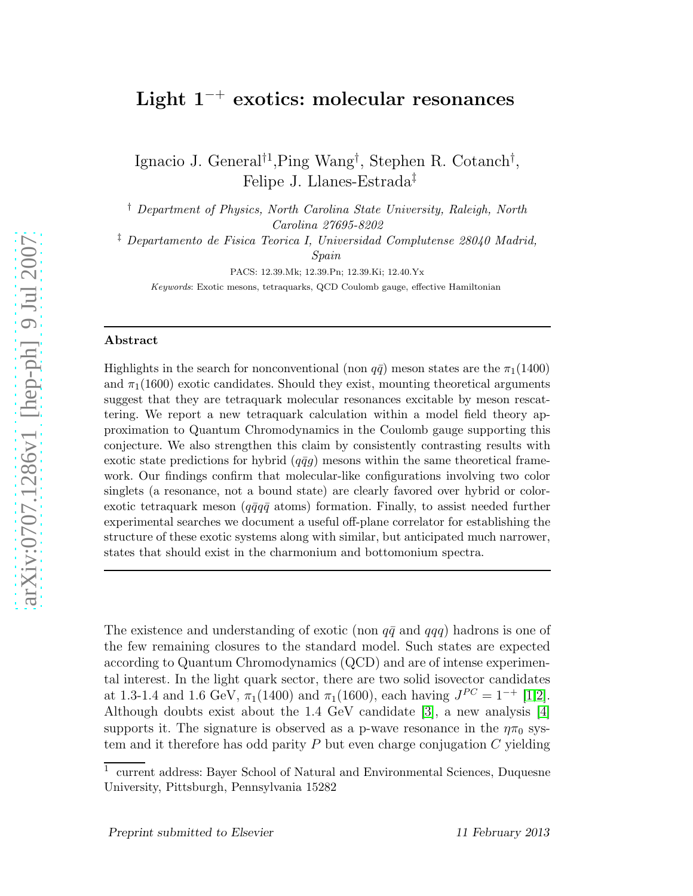# ${\rm Light\,\,1^{-+}}$  exotics: molecular resonances

Ignacio J. General<sup>†1</sup>, Ping Wang<sup>†</sup>, Stephen R. Cotanch<sup>†</sup>, Felipe J. Llanes-Estrada ‡

† Department of Physics, North Carolina State University, Raleigh, North Carolina 27695-8202

‡ Departamento de Fisica Teorica I, Universidad Complutense 28040 Madrid, Spain

PACS: 12.39.Mk; 12.39.Pn; 12.39.Ki; 12.40.Yx

Keywords: Exotic mesons, tetraquarks, QCD Coulomb gauge, effective Hamiltonian

#### Abstract

Highlights in the search for nonconventional (non  $q\bar{q}$ ) meson states are the  $\pi_1(1400)$ and  $\pi_1(1600)$  exotic candidates. Should they exist, mounting theoretical arguments suggest that they are tetraquark molecular resonances excitable by meson rescattering. We report a new tetraquark calculation within a model field theory approximation to Quantum Chromodynamics in the Coulomb gauge supporting this conjecture. We also strengthen this claim by consistently contrasting results with exotic state predictions for hybrid  $(q\bar{q}g)$  mesons within the same theoretical framework. Our findings confirm that molecular-like configurations involving two color singlets (a resonance, not a bound state) are clearly favored over hybrid or colorexotic tetraquark meson ( $q\bar{q}q\bar{q}$  atoms) formation. Finally, to assist needed further experimental searches we document a useful off-plane correlator for establishing the structure of these exotic systems along with similar, but anticipated much narrower, states that should exist in the charmonium and bottomonium spectra.

The existence and understanding of exotic (non  $q\bar{q}$  and  $qqq$ ) hadrons is one of the few remaining closures to the standard model. Such states are expected according to Quantum Chromodynamics (QCD) and are of intense experimental interest. In the light quark sector, there are two solid isovector candidates at 1.3-1.4 and 1.6 GeV,  $\pi_1(1400)$  and  $\pi_1(1600)$ , each having  $J^{PC} = 1^{-+}$  [\[1](#page-10-0)[,2\]](#page-10-1). Although doubts exist about the 1.4 GeV candidate [\[3\]](#page-10-2), a new analysis [\[4\]](#page-10-3) supports it. The signature is observed as a p-wave resonance in the  $\eta\pi_0$  system and it therefore has odd parity  $P$  but even charge conjugation  $C$  yielding

<sup>1</sup> current address: Bayer School of Natural and Environmental Sciences, Duquesne University, Pittsburgh, Pennsylvania 15282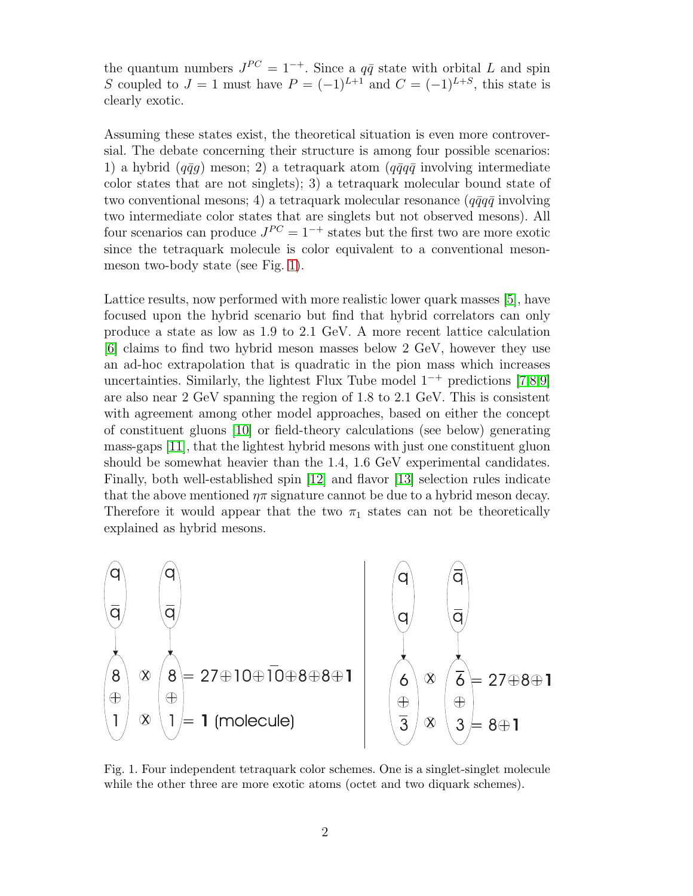the quantum numbers  $J^{PC} = 1^{-+}$ . Since a  $q\bar{q}$  state with orbital L and spin S coupled to  $J = 1$  must have  $P = (-1)^{L+1}$  and  $C = (-1)^{L+S}$ , this state is clearly exotic.

Assuming these states exist, the theoretical situation is even more controversial. The debate concerning their structure is among four possible scenarios: 1) a hybrid ( $q\bar{q}g$ ) meson; 2) a tetraquark atom ( $q\bar{q}q\bar{q}$  involving intermediate color states that are not singlets); 3) a tetraquark molecular bound state of two conventional mesons; 4) a tetraquark molecular resonance  $(q\bar{q}q\bar{q})$  involving two intermediate color states that are singlets but not observed mesons). All four scenarios can produce  $J^{PC} = 1^{-+}$  states but the first two are more exotic since the tetraquark molecule is color equivalent to a conventional mesonmeson two-body state (see Fig. [1\)](#page-1-0).

Lattice results, now performed with more realistic lower quark masses [\[5\]](#page-10-4), have focused upon the hybrid scenario but find that hybrid correlators can only produce a state as low as 1.9 to 2.1 GeV. A more recent lattice calculation [\[6\]](#page-10-5) claims to find two hybrid meson masses below 2 GeV, however they use an ad-hoc extrapolation that is quadratic in the pion mass which increases uncertainties. Similarly, the lightest Flux Tube model 1<sup>−</sup><sup>+</sup> predictions [\[7](#page-10-6)[,8](#page-10-7)[,9\]](#page-10-8) are also near 2 GeV spanning the region of 1.8 to 2.1 GeV. This is consistent with agreement among other model approaches, based on either the concept of constituent gluons [\[10\]](#page-10-9) or field-theory calculations (see below) generating mass-gaps [\[11\]](#page-10-10), that the lightest hybrid mesons with just one constituent gluon should be somewhat heavier than the 1.4, 1.6 GeV experimental candidates. Finally, both well-established spin [\[12\]](#page-10-11) and flavor [\[13\]](#page-10-12) selection rules indicate that the above mentioned  $\eta \pi$  signature cannot be due to a hybrid meson decay. Therefore it would appear that the two  $\pi_1$  states can not be theoretically explained as hybrid mesons.



<span id="page-1-0"></span>Fig. 1. Four independent tetraquark color schemes. One is a singlet-singlet molecule while the other three are more exotic atoms (octet and two diquark schemes).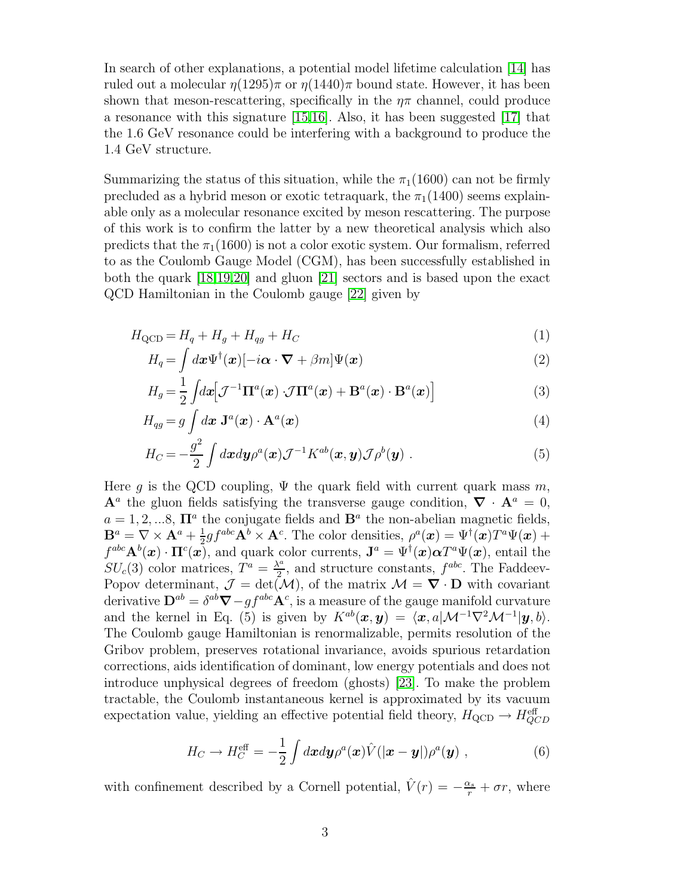In search of other explanations, a potential model lifetime calculation [\[14\]](#page-10-13) has ruled out a molecular  $\eta(1295)\pi$  or  $\eta(1440)\pi$  bound state. However, it has been shown that meson-rescattering, specifically in the  $n\pi$  channel, could produce a resonance with this signature [\[15](#page-10-14)[,16\]](#page-10-15). Also, it has been suggested [\[17\]](#page-11-0) that the 1.6 GeV resonance could be interfering with a background to produce the 1.4 GeV structure.

Summarizing the status of this situation, while the  $\pi_1(1600)$  can not be firmly precluded as a hybrid meson or exotic tetraquark, the  $\pi_1(1400)$  seems explainable only as a molecular resonance excited by meson rescattering. The purpose of this work is to confirm the latter by a new theoretical analysis which also predicts that the  $\pi_1(1600)$  is not a color exotic system. Our formalism, referred to as the Coulomb Gauge Model (CGM), has been successfully established in both the quark [\[18](#page-11-1)[,19](#page-11-2)[,20\]](#page-11-3) and gluon [\[21\]](#page-11-4) sectors and is based upon the exact QCD Hamiltonian in the Coulomb gauge [\[22\]](#page-11-5) given by

$$
H_{\rm QCD} = H_q + H_g + H_{qg} + H_C \tag{1}
$$

$$
H_q = \int d\boldsymbol{x} \Psi^{\dagger}(\boldsymbol{x}) [-i\boldsymbol{\alpha} \cdot \boldsymbol{\nabla} + \beta m] \Psi(\boldsymbol{x}) \tag{2}
$$

$$
H_g = \frac{1}{2} \int d\mathbf{x} \Big[ \mathcal{J}^{-1} \mathbf{\Pi}^a(\mathbf{x}) \cdot \mathcal{J} \mathbf{\Pi}^a(\mathbf{x}) + \mathbf{B}^a(\mathbf{x}) \cdot \mathbf{B}^a(\mathbf{x}) \Big]
$$
(3)

$$
H_{qg} = g \int d\mathbf{x} \mathbf{J}^{a}(\mathbf{x}) \cdot \mathbf{A}^{a}(\mathbf{x}) \tag{4}
$$

$$
H_C = -\frac{g^2}{2} \int d\boldsymbol{x} d\boldsymbol{y} \rho^a(\boldsymbol{x}) \mathcal{J}^{-1} K^{ab}(\boldsymbol{x}, \boldsymbol{y}) \mathcal{J} \rho^b(\boldsymbol{y}) . \tag{5}
$$

Here q is the QCD coupling,  $\Psi$  the quark field with current quark mass m,  $\mathbf{A}^a$  the gluon fields satisfying the transverse gauge condition,  $\nabla \cdot \mathbf{A}^a = 0$ ,  $a = 1, 2, \dots 8$ ,  $\mathbf{\Pi}^a$  the conjugate fields and  $\mathbf{B}^a$  the non-abelian magnetic fields,  $\mathbf{B}^{a}=\nabla\times\mathbf{A}^{a}+\frac{1}{2}% \mathbf{A}^{a}+\frac{1}{2}$  $\frac{1}{2}gf^{abc}\mathbf{A}^b \times \mathbf{A}^c$ . The color densities,  $\rho^a(\boldsymbol{x}) = \Psi^{\dagger}(\boldsymbol{x})T^a\Psi(\boldsymbol{x}) +$  $f^{abc} \mathbf{A}^b(\boldsymbol{x}) \cdot \mathbf{\Pi}^c(\boldsymbol{x})$ , and quark color currents,  $\mathbf{J}^a = \Psi^{\dagger}(\boldsymbol{x}) \boldsymbol{\alpha} T^a \Psi(\boldsymbol{x})$ , entail the  $SU_c(3)$  color matrices,  $T^a = \frac{\lambda^a}{2}$  $\frac{1}{2}$ , and structure constants,  $f^{abc}$ . The Faddeev-Popov determinant,  $\mathcal{J} = det(\mathcal{M})$ , of the matrix  $\mathcal{M} = \nabla \cdot \mathbf{D}$  with covariant derivative  $\mathbf{D}^{ab} = \delta^{ab} \mathbf{\nabla} - gf^{abc} \mathbf{A}^c$ , is a measure of the gauge manifold curvature and the kernel in Eq. (5) is given by  $K^{ab}(\mathbf{x}, \mathbf{y}) = \langle \mathbf{x}, a|\mathcal{M}^{-1}\nabla^2 \mathcal{M}^{-1}|\mathbf{y}, b \rangle.$ The Coulomb gauge Hamiltonian is renormalizable, permits resolution of the Gribov problem, preserves rotational invariance, avoids spurious retardation corrections, aids identification of dominant, low energy potentials and does not introduce unphysical degrees of freedom (ghosts) [\[23\]](#page-11-6). To make the problem tractable, the Coulomb instantaneous kernel is approximated by its vacuum expectation value, yielding an effective potential field theory,  $H_{\rm QCD} \rightarrow H_{QCD}^{\rm eff}$ 

$$
H_C \to H_C^{\text{eff}} = -\frac{1}{2} \int d\boldsymbol{x} d\boldsymbol{y} \rho^a(\boldsymbol{x}) \hat{V}(|\boldsymbol{x} - \boldsymbol{y}|) \rho^a(\boldsymbol{y}) , \qquad (6)
$$

with confinement described by a Cornell potential,  $\hat{V}(r) = -\frac{\alpha_s}{r} + \sigma r$ , where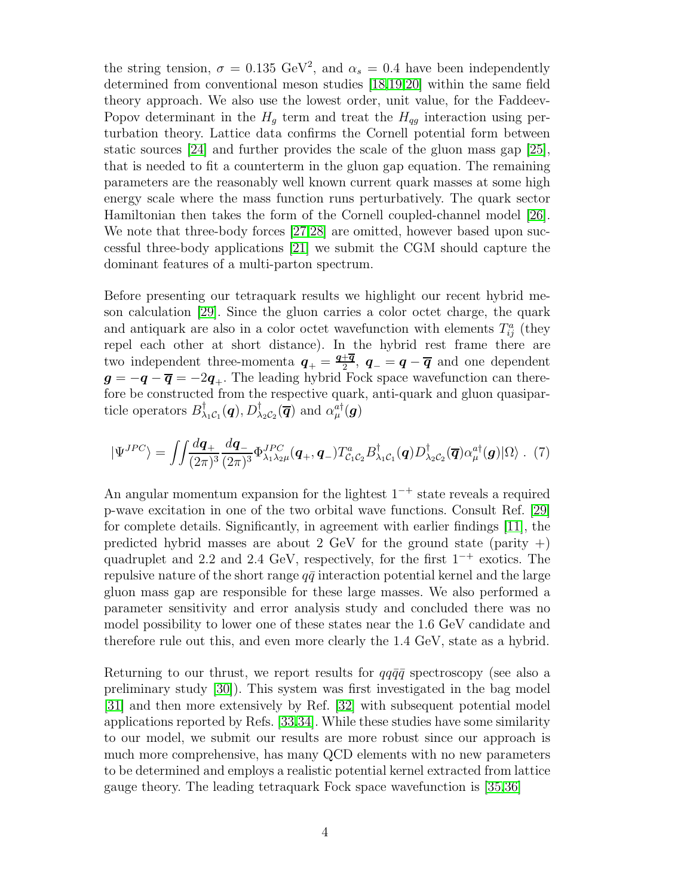the string tension,  $\sigma = 0.135 \text{ GeV}^2$ , and  $\alpha_s = 0.4$  have been independently determined from conventional meson studies [\[18,](#page-11-1)[19,](#page-11-2)[20\]](#page-11-3) within the same field theory approach. We also use the lowest order, unit value, for the Faddeev-Popov determinant in the  $H_q$  term and treat the  $H_{qg}$  interaction using perturbation theory. Lattice data confirms the Cornell potential form between static sources [\[24\]](#page-11-7) and further provides the scale of the gluon mass gap [\[25\]](#page-11-8), that is needed to fit a counterterm in the gluon gap equation. The remaining parameters are the reasonably well known current quark masses at some high energy scale where the mass function runs perturbatively. The quark sector Hamiltonian then takes the form of the Cornell coupled-channel model [\[26\]](#page-11-9). We note that three-body forces [\[27,](#page-11-10)[28\]](#page-11-11) are omitted, however based upon successful three-body applications [\[21\]](#page-11-4) we submit the CGM should capture the dominant features of a multi-parton spectrum.

Before presenting our tetraquark results we highlight our recent hybrid meson calculation [\[29\]](#page-11-12). Since the gluon carries a color octet charge, the quark and antiquark are also in a color octet wavefunction with elements  $T_{ij}^a$  (they repel each other at short distance). In the hybrid rest frame there are two independent three-momenta  $q_{+} = \frac{q_{+} \overline{q}}{2}$  $\frac{+{\boldsymbol{q}}}{2}$ ,  ${\boldsymbol{q}}_-={\boldsymbol{q}}-{\overline{\boldsymbol{q}}}$  and one dependent  $g = -q - \overline{q} = -2q_{+}$ . The leading hybrid Fock space wavefunction can therefore be constructed from the respective quark, anti-quark and gluon quasiparticle operators  $B_{\lambda}^{\dagger}$  $\phi^{\dagger}_{\lambda_1\mathcal{C}_1}(\bm{q}), D^{\dagger}_{\lambda_2\mathcal{C}_2}(\overline{\bm{q}})$  and  $\alpha_{\mu}^{a\dagger}(\bm{g})$ 

$$
|\Psi^{JPC}\rangle = \iint \frac{d\mathbf{q}_+}{(2\pi)^3} \frac{d\mathbf{q}_-}{(2\pi)^3} \Phi^{JPC}_{\lambda_1 \lambda_2 \mu}(\mathbf{q}_+, \mathbf{q}_-) T_{C_1 C_2}^a B_{\lambda_1 C_1}^\dagger(\mathbf{q}) D_{\lambda_2 C_2}^\dagger(\overline{\mathbf{q}}) \alpha_\mu^{a\dagger}(\mathbf{g}) |\Omega\rangle. (7)
$$

An angular momentum expansion for the lightest  $1^{-+}$  state reveals a required p-wave excitation in one of the two orbital wave functions. Consult Ref. [\[29\]](#page-11-12) for complete details. Significantly, in agreement with earlier findings [\[11\]](#page-10-10), the predicted hybrid masses are about 2 GeV for the ground state (parity  $+)$ ) quadruplet and 2.2 and 2.4 GeV, respectively, for the first  $1^{-+}$  exotics. The repulsive nature of the short range  $q\bar{q}$  interaction potential kernel and the large gluon mass gap are responsible for these large masses. We also performed a parameter sensitivity and error analysis study and concluded there was no model possibility to lower one of these states near the 1.6 GeV candidate and therefore rule out this, and even more clearly the 1.4 GeV, state as a hybrid.

Returning to our thrust, we report results for  $qq\bar{q}\bar{q}$  spectroscopy (see also a preliminary study [\[30\]](#page-11-13)). This system was first investigated in the bag model [\[31\]](#page-11-14) and then more extensively by Ref. [\[32\]](#page-11-15) with subsequent potential model applications reported by Refs. [\[33](#page-11-16)[,34\]](#page-11-17). While these studies have some similarity to our model, we submit our results are more robust since our approach is much more comprehensive, has many QCD elements with no new parameters to be determined and employs a realistic potential kernel extracted from lattice gauge theory. The leading tetraquark Fock space wavefunction is [\[35,](#page-11-18)[36\]](#page-11-19)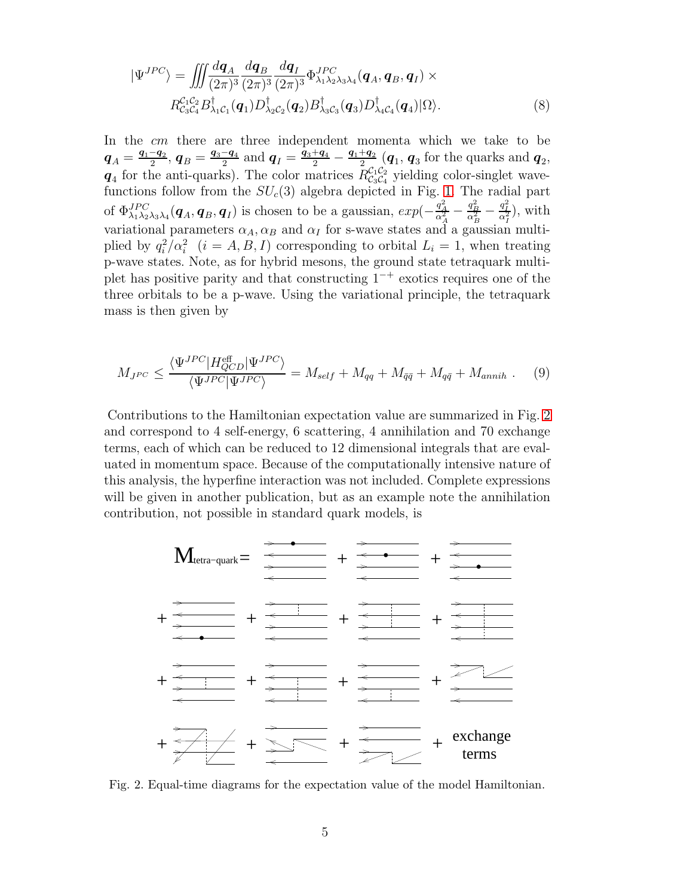$$
|\Psi^{JPC}\rangle = \iiint \frac{d\mathbf{q}_A}{(2\pi)^3} \frac{d\mathbf{q}_B}{(2\pi)^3} \frac{d\mathbf{q}_I}{(2\pi)^3} \Phi^{JPC}_{\lambda_1 \lambda_2 \lambda_3 \lambda_4}(\mathbf{q}_A, \mathbf{q}_B, \mathbf{q}_I) \times
$$
  
\n
$$
R_{\mathcal{C}_3 \mathcal{C}_4}^{\mathcal{C}_1 \mathcal{C}_2} B_{\lambda_1 \mathcal{C}_1}^{\dagger}(\mathbf{q}_1) D_{\lambda_2 \mathcal{C}_2}^{\dagger}(\mathbf{q}_2) B_{\lambda_3 \mathcal{C}_3}^{\dagger}(\mathbf{q}_3) D_{\lambda_4 \mathcal{C}_4}^{\dagger}(\mathbf{q}_4) |\Omega\rangle.
$$
\n(8)

In the cm there are three independent momenta which we take to be  $\bm{q}_A = \frac{\bm{q}_1 - \bm{q}_2}{2}$  $\frac{-\boldsymbol{q}_2}{2},~\boldsymbol{q}_B=\frac{\boldsymbol{q}_3-\boldsymbol{q}_4}{2}$  $\frac{-\mathbf{q}_4}{2}$  and  $\mathbf{q}_I = \frac{\bar{\mathbf{q}}_3 + \bar{\mathbf{q}}_4}{2} - \frac{\bar{\mathbf{q}}_1 + \bar{\mathbf{q}}_2}{2}$  $\frac{+q_2}{2}$  ( $q_1, q_3$  for the quarks and  $q_2$ )  $q_4$  for the anti-quarks). The color matrices  $R_{\mathcal{C}_3\mathcal{C}_4}^{\mathcal{C}_1\mathcal{C}_2}$  $\mathcal{C}_3^{\text{IC}_2}$  yielding color-singlet wavefunctions follow from the  $SU_c(3)$  algebra depicted in Fig. [1.](#page-1-0) The radial part of  $\Phi_{\lambda_1\lambda_2\lambda_3\lambda_4}^{JPC}(\boldsymbol{q}_A, \boldsymbol{q}_B, \boldsymbol{q}_I)$  is chosen to be a gaussian,  $exp(-\frac{q_A^2}{\alpha_A^2} - \frac{q_B^2}{\alpha_B^2} - \frac{q_I^2}{\alpha_I^2})$ , with variational parameters  $\alpha_A, \alpha_B$  and  $\alpha_I$  for s-wave states and a gaussian multiplied by  $q_i^2/\alpha_i^2$   $(i = A, B, I)$  corresponding to orbital  $L_i = 1$ , when treating p-wave states. Note, as for hybrid mesons, the ground state tetraquark multiplet has positive parity and that constructing  $1^{-+}$  exotics requires one of the three orbitals to be a p-wave. Using the variational principle, the tetraquark mass is then given by

$$
M_{J^{PC}} \le \frac{\langle \Psi^{JPC} | H_{QCD}^{\text{eff}} | \Psi^{JPC} \rangle}{\langle \Psi^{JPC} | \Psi^{JPC} \rangle} = M_{self} + M_{qq} + M_{\bar{q}\bar{q}} + M_{q\bar{q}} + M_{annih} . \tag{9}
$$

Contributions to the Hamiltonian expectation value are summarized in Fig. [2](#page-4-0) and correspond to 4 self-energy, 6 scattering, 4 annihilation and 70 exchange terms, each of which can be reduced to 12 dimensional integrals that are evaluated in momentum space. Because of the computationally intensive nature of this analysis, the hyperfine interaction was not included. Complete expressions will be given in another publication, but as an example note the annihilation contribution, not possible in standard quark models, is



<span id="page-4-0"></span>Fig. 2. Equal-time diagrams for the expectation value of the model Hamiltonian.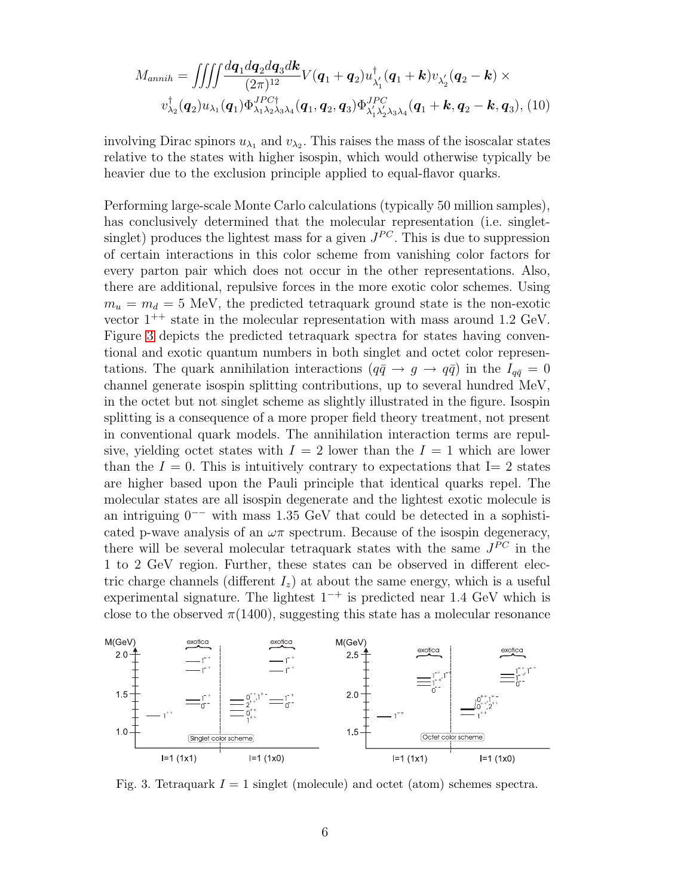$$
M_{annih} = \iiint \frac{dq_1 dq_2 dq_3 d\mathbf{k}}{(2\pi)^{12}} V(\mathbf{q}_1 + \mathbf{q}_2) u_{\lambda'_1}^{\dagger}(\mathbf{q}_1 + \mathbf{k}) v_{\lambda'_2}(\mathbf{q}_2 - \mathbf{k}) \times
$$
  

$$
v_{\lambda_2}^{\dagger}(\mathbf{q}_2) u_{\lambda_1}(\mathbf{q}_1) \Phi_{\lambda_1 \lambda_2 \lambda_3 \lambda_4}^{JPC\dagger}(\mathbf{q}_1, \mathbf{q}_2, \mathbf{q}_3) \Phi_{\lambda'_1 \lambda'_2 \lambda_3 \lambda_4}^{JPC}(\mathbf{q}_1 + \mathbf{k}, \mathbf{q}_2 - \mathbf{k}, \mathbf{q}_3), (10)
$$

involving Dirac spinors  $u_{\lambda_1}$  and  $v_{\lambda_2}$ . This raises the mass of the isoscalar states relative to the states with higher isospin, which would otherwise typically be heavier due to the exclusion principle applied to equal-flavor quarks.

Performing large-scale Monte Carlo calculations (typically 50 million samples), has conclusively determined that the molecular representation (i.e. singletsinglet) produces the lightest mass for a given  $J^{PC}$ . This is due to suppression of certain interactions in this color scheme from vanishing color factors for every parton pair which does not occur in the other representations. Also, there are additional, repulsive forces in the more exotic color schemes. Using  $m_u = m_d = 5$  MeV, the predicted tetraquark ground state is the non-exotic vector  $1^{++}$  state in the molecular representation with mass around 1.2 GeV. Figure [3](#page-5-0) depicts the predicted tetraquark spectra for states having conventional and exotic quantum numbers in both singlet and octet color representations. The quark annihilation interactions  $(q\bar{q} \rightarrow g \rightarrow q\bar{q})$  in the  $I_{q\bar{q}} = 0$ channel generate isospin splitting contributions, up to several hundred MeV, in the octet but not singlet scheme as slightly illustrated in the figure. Isospin splitting is a consequence of a more proper field theory treatment, not present in conventional quark models. The annihilation interaction terms are repulsive, yielding octet states with  $I = 2$  lower than the  $I = 1$  which are lower than the  $I = 0$ . This is intuitively contrary to expectations that I= 2 states are higher based upon the Pauli principle that identical quarks repel. The molecular states are all isospin degenerate and the lightest exotic molecule is an intriguing 0−− with mass 1.35 GeV that could be detected in a sophisticated p-wave analysis of an  $\omega\pi$  spectrum. Because of the isospin degeneracy, there will be several molecular tetraquark states with the same  $J^{PC}$  in the 1 to 2 GeV region. Further, these states can be observed in different electric charge channels (different  $I_z$ ) at about the same energy, which is a useful experimental signature. The lightest  $1^{-+}$  is predicted near 1.4 GeV which is close to the observed  $\pi(1400)$ , suggesting this state has a molecular resonance



<span id="page-5-0"></span>Fig. 3. Tetraquark  $I = 1$  singlet (molecule) and octet (atom) schemes spectra.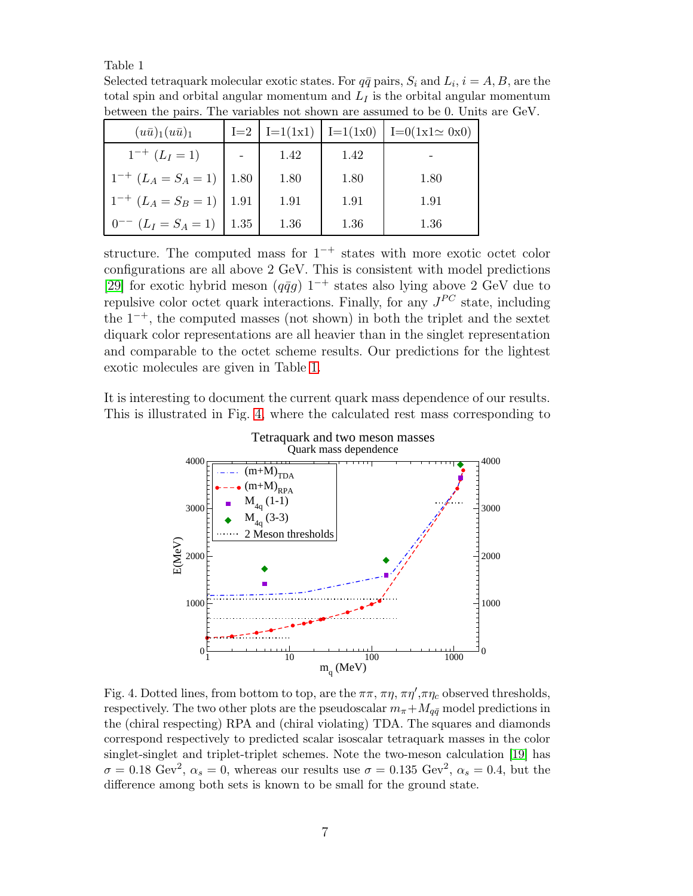### Table 1

<span id="page-6-0"></span>Selected tetraquark molecular exotic states. For  $q\bar{q}$  pairs,  $S_i$  and  $L_i$ ,  $i = A, B$ , are the total spin and orbital angular momentum and  $L_I$  is the orbital angular momentum between the pairs. The variables not shown are assumed to be 0. Units are GeV.

| $(u\bar{u})_1(u\bar{u})_1$        |      | $I=2$   $I=1(1x1)$   $I=1(1x0)$ |      | $I=0(1x1 \approx 0x0)$ |
|-----------------------------------|------|---------------------------------|------|------------------------|
| $1^{-+}$ $(L_I = 1)$              |      | 1.42                            | 1.42 | -                      |
| $1^{-+}$ $(L_A = S_A = 1)$   1.80 |      | 1.80                            | 1.80 | 1.80                   |
| $1^{-+}$ $(L_A = S_B = 1)$   1.91 |      | 1.91                            | 1.91 | 1.91                   |
| $0^{--}$ $(L_I = S_A = 1)$        | 1.35 | 1.36                            | 1.36 | 1.36                   |

structure. The computed mass for  $1^{-+}$  states with more exotic octet color configurations are all above 2 GeV. This is consistent with model predictions [\[29\]](#page-11-12) for exotic hybrid meson ( $q\bar{q}g$ ) 1<sup>-+</sup> states also lying above 2 GeV due to repulsive color octet quark interactions. Finally, for any  $J^{PC}$  state, including the  $1^{-+}$ , the computed masses (not shown) in both the triplet and the sextet diquark color representations are all heavier than in the singlet representation and comparable to the octet scheme results. Our predictions for the lightest exotic molecules are given in Table [1.](#page-6-0)

It is interesting to document the current quark mass dependence of our results. This is illustrated in Fig. [4,](#page-6-1) where the calculated rest mass corresponding to



<span id="page-6-1"></span>Fig. 4. Dotted lines, from bottom to top, are the  $\pi\pi$ ,  $\pi\eta$ ,  $\pi\eta'$ ,  $\pi\eta_c$  observed thresholds, respectively. The two other plots are the pseudoscalar  $m_{\pi}+M_{q\bar{q}}$  model predictions in the (chiral respecting) RPA and (chiral violating) TDA. The squares and diamonds correspond respectively to predicted scalar isoscalar tetraquark masses in the color singlet-singlet and triplet-triplet schemes. Note the two-meson calculation [\[19\]](#page-11-2) has  $\sigma = 0.18 \text{ GeV}^2$ ,  $\alpha_s = 0$ , whereas our results use  $\sigma = 0.135 \text{ GeV}^2$ ,  $\alpha_s = 0.4$ , but the difference among both sets is known to be small for the ground state.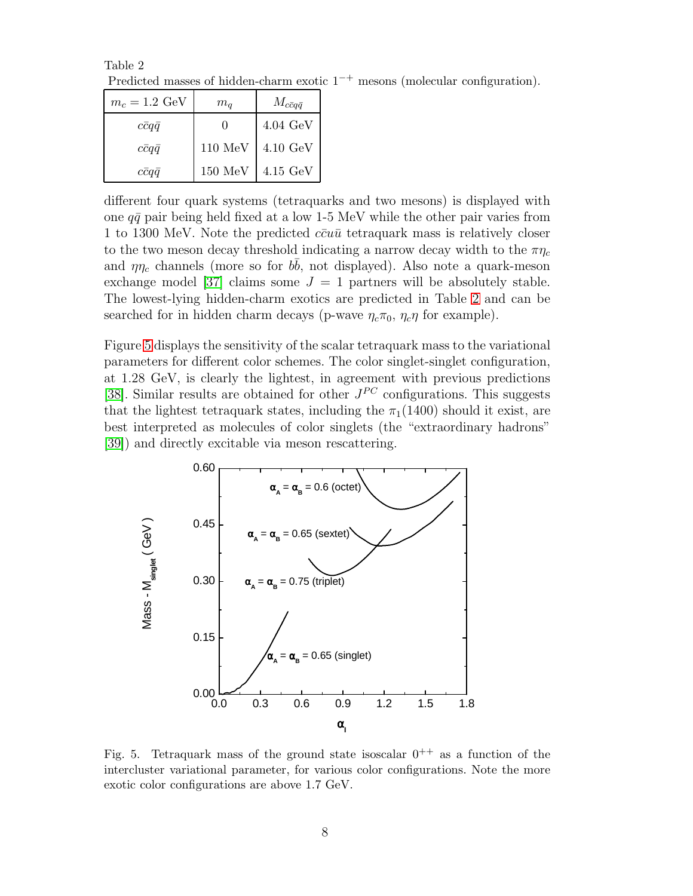Table 2 Predicted masses of hidden-charm exotic 1−<sup>+</sup> mesons (molecular configuration).

<span id="page-7-0"></span>

| $m_c = 1.2 \text{ GeV}$ | $m_q$              | $M_{c\bar{c}q\bar{q}}$ |
|-------------------------|--------------------|------------------------|
| ccqq                    |                    | $4.04~\mathrm{GeV}$    |
| $c\bar{c}q\bar{q}$      | $110~\mathrm{MeV}$ | $4.10~\mathrm{GeV}$    |
| $c\bar{c}qq$            | $150 \text{ MeV}$  | $4.15 \text{ GeV}$     |

different four quark systems (tetraquarks and two mesons) is displayed with one  $q\bar{q}$  pair being held fixed at a low 1-5 MeV while the other pair varies from 1 to 1300 MeV. Note the predicted  $c\bar{c}u\bar{u}$  tetraquark mass is relatively closer to the two meson decay threshold indicating a narrow decay width to the  $\pi\eta_c$ and  $\eta \eta_c$  channels (more so for  $b\bar{b}$ , not displayed). Also note a quark-meson exchange model [\[37\]](#page-11-20) claims some  $J = 1$  partners will be absolutely stable. The lowest-lying hidden-charm exotics are predicted in Table [2](#page-7-0) and can be searched for in hidden charm decays (p-wave  $\eta_c \pi_0$ ,  $\eta_c \eta$  for example).

Figure [5](#page-7-1) displays the sensitivity of the scalar tetraquark mass to the variational parameters for different color schemes. The color singlet-singlet configuration, at 1.28 GeV, is clearly the lightest, in agreement with previous predictions [\[38\]](#page-11-21). Similar results are obtained for other  $J^{PC}$  configurations. This suggests that the lightest tetraquark states, including the  $\pi_1(1400)$  should it exist, are best interpreted as molecules of color singlets (the "extraordinary hadrons" [\[39\]](#page-11-22)) and directly excitable via meson rescattering.



<span id="page-7-1"></span>Fig. 5. Tetraquark mass of the ground state isoscalar  $0^{++}$  as a function of the intercluster variational parameter, for various color configurations. Note the more exotic color configurations are above 1.7 GeV.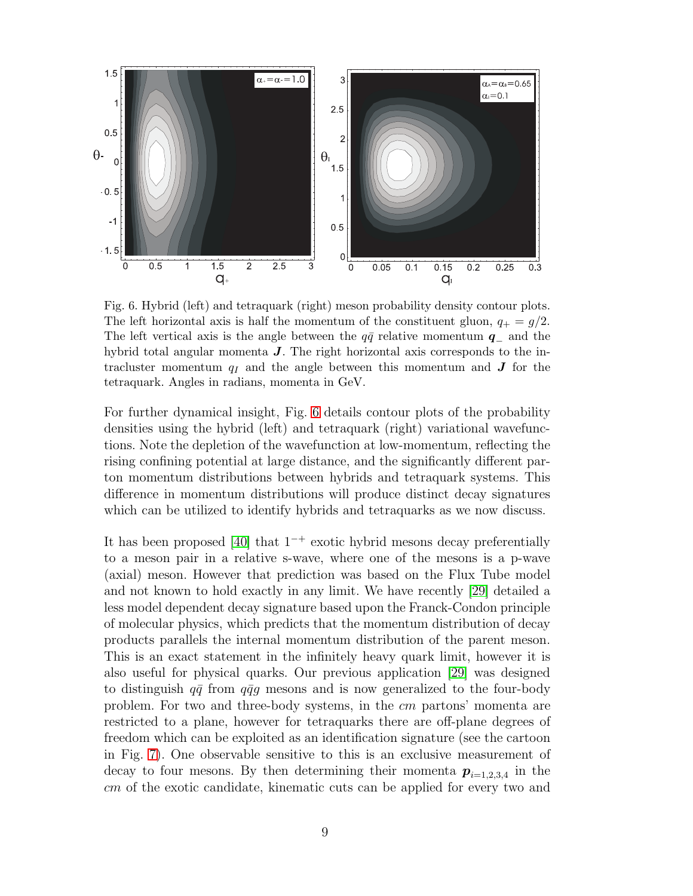

<span id="page-8-0"></span>Fig. 6. Hybrid (left) and tetraquark (right) meson probability density contour plots. The left horizontal axis is half the momentum of the constituent gluon,  $q_{+} = g/2$ . The left vertical axis is the angle between the  $q\bar{q}$  relative momentum  $q_{-}$  and the hybrid total angular momenta  $J$ . The right horizontal axis corresponds to the intracluster momentum  $q_I$  and the angle between this momentum and  $J$  for the tetraquark. Angles in radians, momenta in GeV.

For further dynamical insight, Fig. [6](#page-8-0) details contour plots of the probability densities using the hybrid (left) and tetraquark (right) variational wavefunctions. Note the depletion of the wavefunction at low-momentum, reflecting the rising confining potential at large distance, and the significantly different parton momentum distributions between hybrids and tetraquark systems. This difference in momentum distributions will produce distinct decay signatures which can be utilized to identify hybrids and tetraquarks as we now discuss.

It has been proposed [\[40\]](#page-11-23) that  $1^{-+}$  exotic hybrid mesons decay preferentially to a meson pair in a relative s-wave, where one of the mesons is a p-wave (axial) meson. However that prediction was based on the Flux Tube model and not known to hold exactly in any limit. We have recently [\[29\]](#page-11-12) detailed a less model dependent decay signature based upon the Franck-Condon principle of molecular physics, which predicts that the momentum distribution of decay products parallels the internal momentum distribution of the parent meson. This is an exact statement in the infinitely heavy quark limit, however it is also useful for physical quarks. Our previous application [\[29\]](#page-11-12) was designed to distinguish  $q\bar{q}$  from  $q\bar{q}g$  mesons and is now generalized to the four-body problem. For two and three-body systems, in the cm partons' momenta are restricted to a plane, however for tetraquarks there are off-plane degrees of freedom which can be exploited as an identification signature (see the cartoon in Fig. [7\)](#page-9-0). One observable sensitive to this is an exclusive measurement of decay to four mesons. By then determining their momenta  $p_{i=1,2,3,4}$  in the cm of the exotic candidate, kinematic cuts can be applied for every two and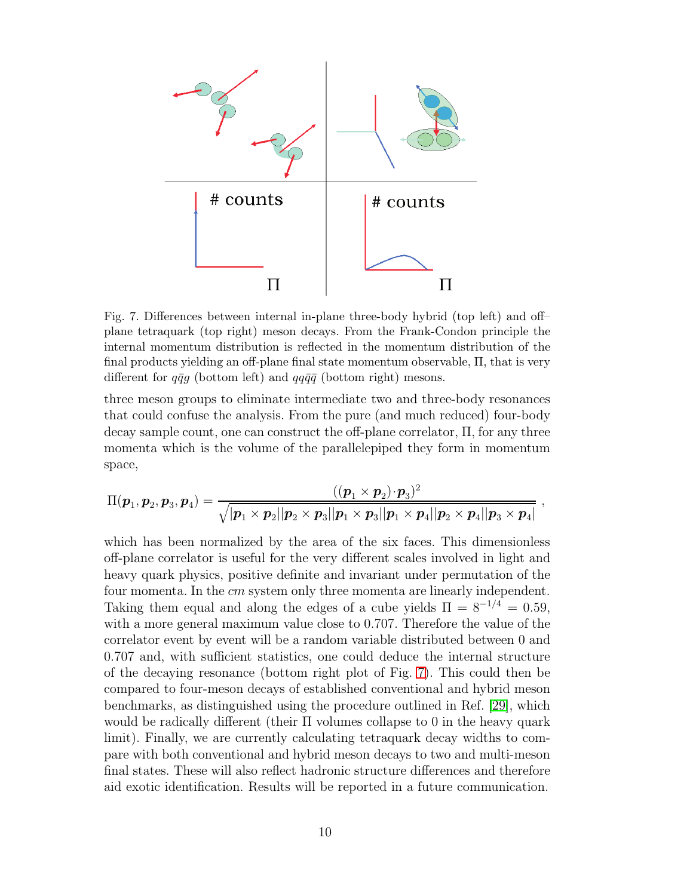

<span id="page-9-0"></span>Fig. 7. Differences between internal in-plane three-body hybrid (top left) and off– plane tetraquark (top right) meson decays. From the Frank-Condon principle the internal momentum distribution is reflected in the momentum distribution of the final products yielding an off-plane final state momentum observable, Π, that is very different for  $q\bar{q}g$  (bottom left) and  $qq\bar{q}\bar{q}$  (bottom right) mesons.

three meson groups to eliminate intermediate two and three-body resonances that could confuse the analysis. From the pure (and much reduced) four-body decay sample count, one can construct the off-plane correlator, Π, for any three momenta which is the volume of the parallelepiped they form in momentum space,

$$
\Pi(\boldsymbol{p}_1, \boldsymbol{p}_2, \boldsymbol{p}_3, \boldsymbol{p}_4) = \frac{((\boldsymbol{p}_1 \times \boldsymbol{p}_2) \cdot \boldsymbol{p}_3)^2}{\sqrt{|\boldsymbol{p}_1 \times \boldsymbol{p}_2||\boldsymbol{p}_2 \times \boldsymbol{p}_3||\boldsymbol{p}_1 \times \boldsymbol{p}_3||\boldsymbol{p}_1 \times \boldsymbol{p}_4||\boldsymbol{p}_2 \times \boldsymbol{p}_4||\boldsymbol{p}_3 \times \boldsymbol{p}_4|}}
$$

,

which has been normalized by the area of the six faces. This dimensionless off-plane correlator is useful for the very different scales involved in light and heavy quark physics, positive definite and invariant under permutation of the four momenta. In the cm system only three momenta are linearly independent. Taking them equal and along the edges of a cube yields  $\Pi = 8^{-1/4} = 0.59$ , with a more general maximum value close to 0.707. Therefore the value of the correlator event by event will be a random variable distributed between 0 and 0.707 and, with sufficient statistics, one could deduce the internal structure of the decaying resonance (bottom right plot of Fig. [7\)](#page-9-0). This could then be compared to four-meson decays of established conventional and hybrid meson benchmarks, as distinguished using the procedure outlined in Ref. [\[29\]](#page-11-12), which would be radically different (their Π volumes collapse to 0 in the heavy quark limit). Finally, we are currently calculating tetraquark decay widths to compare with both conventional and hybrid meson decays to two and multi-meson final states. These will also reflect hadronic structure differences and therefore aid exotic identification. Results will be reported in a future communication.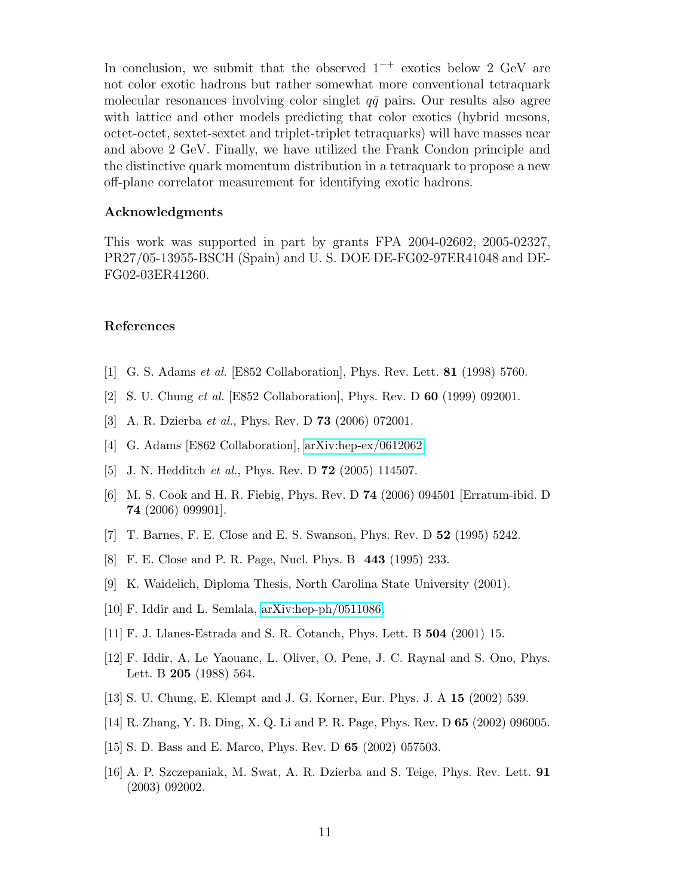In conclusion, we submit that the observed  $1^{-+}$  exotics below 2 GeV are not color exotic hadrons but rather somewhat more conventional tetraquark molecular resonances involving color singlet  $q\bar{q}$  pairs. Our results also agree with lattice and other models predicting that color exotics (hybrid mesons, octet-octet, sextet-sextet and triplet-triplet tetraquarks) will have masses near and above 2 GeV. Finally, we have utilized the Frank Condon principle and the distinctive quark momentum distribution in a tetraquark to propose a new off-plane correlator measurement for identifying exotic hadrons.

## Acknowledgments

This work was supported in part by grants FPA 2004-02602, 2005-02327, PR27/05-13955-BSCH (Spain) and U. S. DOE DE-FG02-97ER41048 and DE-FG02-03ER41260.

### <span id="page-10-0"></span>References

- <span id="page-10-1"></span>[1] G. S. Adams et al. [E852 Collaboration], Phys. Rev. Lett. 81 (1998) 5760.
- <span id="page-10-2"></span>[2] S. U. Chung et al. [E852 Collaboration], Phys. Rev. D 60 (1999) 092001.
- <span id="page-10-3"></span>[3] A. R. Dzierba et al., Phys. Rev. D 73 (2006) 072001.
- <span id="page-10-4"></span>[4] G. Adams [E862 Collaboration], [arXiv:hep-ex/0612062.](http://arxiv.org/abs/hep-ex/0612062)
- <span id="page-10-5"></span>[5] J. N. Hedditch *et al.*, Phys. Rev. D **72** (2005) 114507.
- [6] M. S. Cook and H. R. Fiebig, Phys. Rev. D 74 (2006) 094501 [Erratum-ibid. D 74 (2006) 099901].
- <span id="page-10-7"></span><span id="page-10-6"></span>[7] T. Barnes, F. E. Close and E. S. Swanson, Phys. Rev. D 52 (1995) 5242.
- <span id="page-10-8"></span>[8] F. E. Close and P. R. Page, Nucl. Phys. B 443 (1995) 233.
- <span id="page-10-9"></span>[9] K. Waidelich, Diploma Thesis, North Carolina State University (2001).
- <span id="page-10-10"></span>[10] F. Iddir and L. Semlala, [arXiv:hep-ph/0511086.](http://arxiv.org/abs/hep-ph/0511086)
- <span id="page-10-11"></span>[11] F. J. Llanes-Estrada and S. R. Cotanch, Phys. Lett. B 504 (2001) 15.
- [12] F. Iddir, A. Le Yaouanc, L. Oliver, O. Pene, J. C. Raynal and S. Ono, Phys. Lett. B 205 (1988) 564.
- <span id="page-10-13"></span><span id="page-10-12"></span>[13] S. U. Chung, E. Klempt and J. G. Korner, Eur. Phys. J. A 15 (2002) 539.
- <span id="page-10-14"></span>[14] R. Zhang, Y. B. Ding, X. Q. Li and P. R. Page, Phys. Rev. D 65 (2002) 096005.
- <span id="page-10-15"></span>[15] S. D. Bass and E. Marco, Phys. Rev. D 65 (2002) 057503.
- [16] A. P. Szczepaniak, M. Swat, A. R. Dzierba and S. Teige, Phys. Rev. Lett. 91 (2003) 092002.